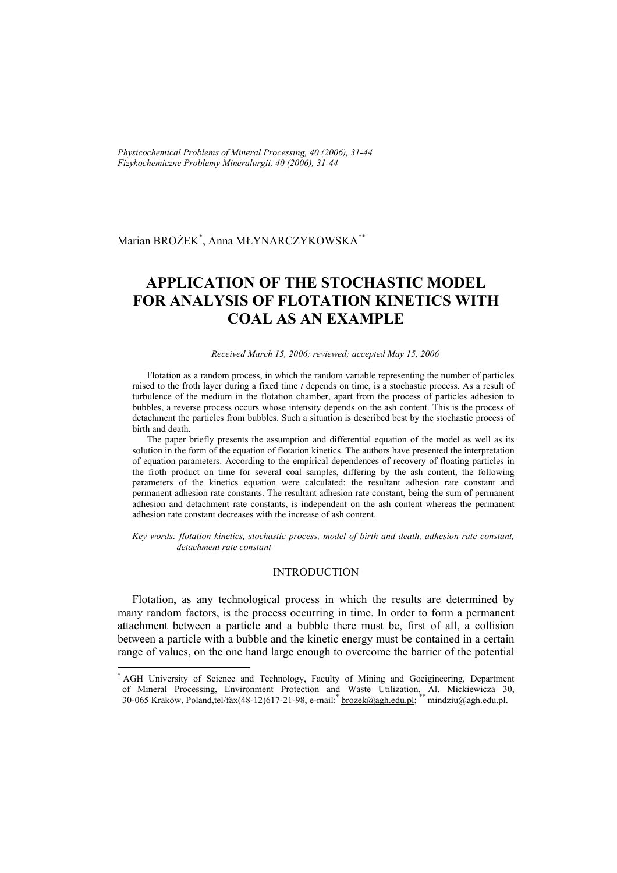*Physicochemical Problems of Mineral Processing, 40 (2006), 31-44 Fizykochemiczne Problemy Mineralurgii, 40 (2006), 31-44* 

Marian BROŻEK\* , Anna MŁYNARCZYKOWSKA\*\*

# **APPLICATION OF THE STOCHASTIC MODEL FOR ANALYSIS OF FLOTATION KINETICS WITH COAL AS AN EXAMPLE**

#### *Received March 15, 2006; reviewed; accepted May 15, 2006*

Flotation as a random process, in which the random variable representing the number of particles raised to the froth layer during a fixed time *t* depends on time, is a stochastic process. As a result of turbulence of the medium in the flotation chamber, apart from the process of particles adhesion to bubbles, a reverse process occurs whose intensity depends on the ash content. This is the process of detachment the particles from bubbles. Such a situation is described best by the stochastic process of birth and death.

The paper briefly presents the assumption and differential equation of the model as well as its solution in the form of the equation of flotation kinetics. The authors have presented the interpretation of equation parameters. According to the empirical dependences of recovery of floating particles in the froth product on time for several coal samples, differing by the ash content, the following parameters of the kinetics equation were calculated: the resultant adhesion rate constant and permanent adhesion rate constants. The resultant adhesion rate constant, being the sum of permanent adhesion and detachment rate constants, is independent on the ash content whereas the permanent adhesion rate constant decreases with the increase of ash content.

*Key words: flotation kinetics, stochastic process, model of birth and death, adhesion rate constant, detachment rate constant* 

# INTRODUCTION

Flotation, as any technological process in which the results are determined by many random factors, is the process occurring in time. In order to form a permanent attachment between a particle and a bubble there must be, first of all, a collision between a particle with a bubble and the kinetic energy must be contained in a certain range of values, on the one hand large enough to overcome the barrier of the potential

 $\overline{a}$ 

<sup>\*</sup> AGH University of Science and Technology, Faculty of Mining and Goeigineering, Department of Mineral Processing, Environment Protection and Waste Utilization, Al. Mickiewicza 30, 30-065 Kraków, Poland,tel/fax(48-12)617-21-98, e-mail: *\*brozek@agh.edu.pl;* \*\* mindziu@agh.edu.pl.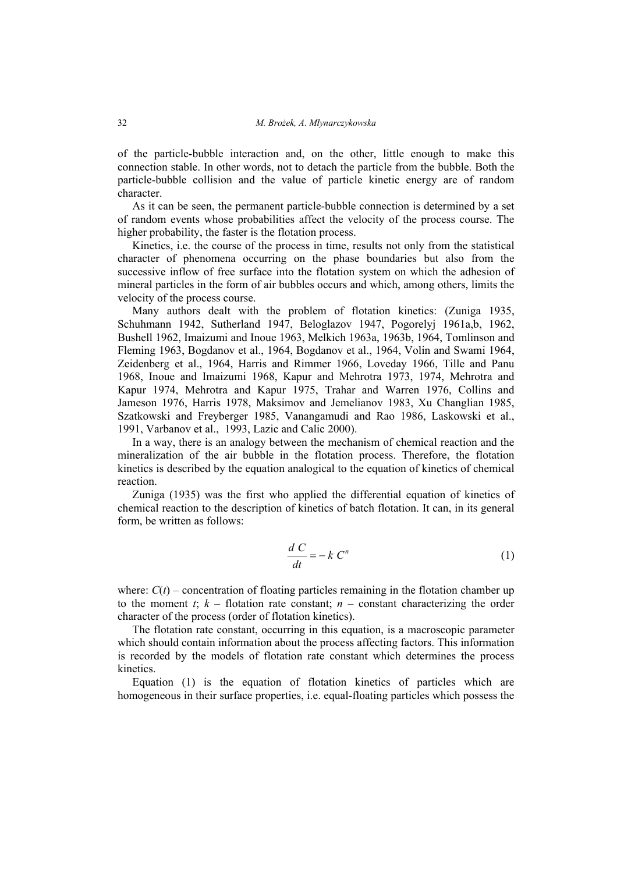of the particle-bubble interaction and, on the other, little enough to make this connection stable. In other words, not to detach the particle from the bubble. Both the particle-bubble collision and the value of particle kinetic energy are of random character.

As it can be seen, the permanent particle-bubble connection is determined by a set of random events whose probabilities affect the velocity of the process course. The higher probability, the faster is the flotation process.

Kinetics, i.e. the course of the process in time, results not only from the statistical character of phenomena occurring on the phase boundaries but also from the successive inflow of free surface into the flotation system on which the adhesion of mineral particles in the form of air bubbles occurs and which, among others, limits the velocity of the process course.

Many authors dealt with the problem of flotation kinetics: (Zuniga 1935, Schuhmann 1942, Sutherland 1947, Beloglazov 1947, Pogorelyj 1961a,b, 1962, Bushell 1962, Imaizumi and Inoue 1963, Melkich 1963a, 1963b, 1964, Tomlinson and Fleming 1963, Bogdanov et al., 1964, Bogdanov et al., 1964, Volin and Swami 1964, Zeidenberg et al., 1964, Harris and Rimmer 1966, Loveday 1966, Tille and Panu 1968, Inoue and Imaizumi 1968, Kapur and Mehrotra 1973, 1974, Mehrotra and Kapur 1974, Mehrotra and Kapur 1975, Trahar and Warren 1976, Collins and Jameson 1976, Harris 1978, Maksimov and Jemelianov 1983, Xu Changlian 1985, Szatkowski and Freyberger 1985, Vanangamudi and Rao 1986, Laskowski et al., 1991, Varbanov et al., 1993, Lazic and Calic 2000).

In a way, there is an analogy between the mechanism of chemical reaction and the mineralization of the air bubble in the flotation process. Therefore, the flotation kinetics is described by the equation analogical to the equation of kinetics of chemical reaction.

Zuniga (1935) was the first who applied the differential equation of kinetics of chemical reaction to the description of kinetics of batch flotation. It can, in its general form, be written as follows:

$$
\frac{dC}{dt} = -k C^n \tag{1}
$$

where:  $C(t)$  – concentration of floating particles remaining in the flotation chamber up to the moment  $t$ ;  $k -$  flotation rate constant;  $n -$  constant characterizing the order character of the process (order of flotation kinetics).

The flotation rate constant, occurring in this equation, is a macroscopic parameter which should contain information about the process affecting factors. This information is recorded by the models of flotation rate constant which determines the process kinetics.

Equation (1) is the equation of flotation kinetics of particles which are homogeneous in their surface properties, i.e. equal-floating particles which possess the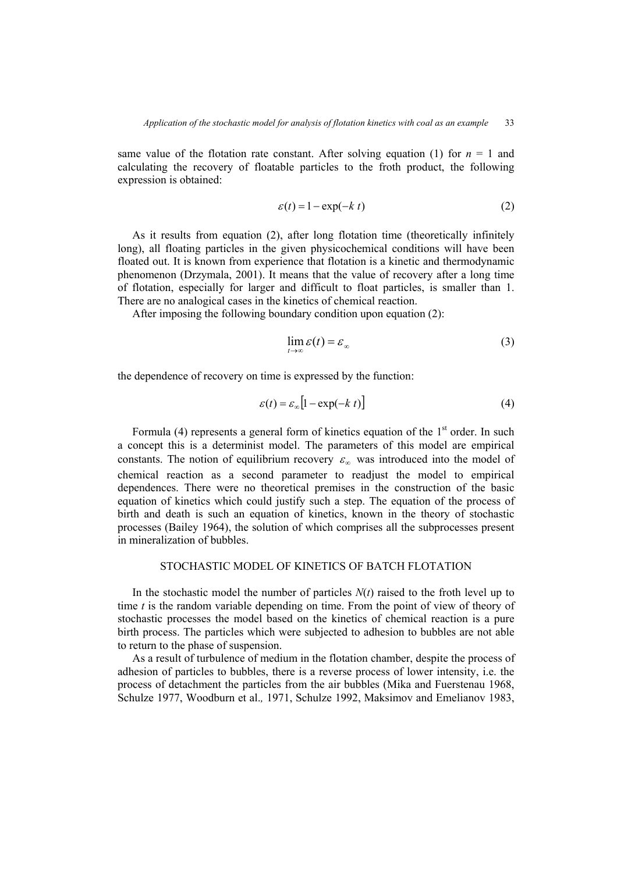same value of the flotation rate constant. After solving equation (1) for  $n = 1$  and calculating the recovery of floatable particles to the froth product, the following expression is obtained:

$$
\varepsilon(t) = 1 - \exp(-k \ t) \tag{2}
$$

As it results from equation (2), after long flotation time (theoretically infinitely long), all floating particles in the given physicochemical conditions will have been floated out. It is known from experience that flotation is a kinetic and thermodynamic phenomenon (Drzymala, 2001). It means that the value of recovery after a long time of flotation, especially for larger and difficult to float particles, is smaller than 1. There are no analogical cases in the kinetics of chemical reaction.

After imposing the following boundary condition upon equation (2):

$$
\lim_{t \to \infty} \varepsilon(t) = \varepsilon_{\infty} \tag{3}
$$

the dependence of recovery on time is expressed by the function:

$$
\varepsilon(t) = \varepsilon_{\infty} \left[ 1 - \exp(-k \ t) \right] \tag{4}
$$

Formula (4) represents a general form of kinetics equation of the  $1<sup>st</sup>$  order. In such a concept this is a determinist model. The parameters of this model are empirical constants. The notion of equilibrium recovery  $\varepsilon_{\infty}$  was introduced into the model of chemical reaction as a second parameter to readjust the model to empirical dependences. There were no theoretical premises in the construction of the basic equation of kinetics which could justify such a step. The equation of the process of birth and death is such an equation of kinetics, known in the theory of stochastic processes (Bailey 1964), the solution of which comprises all the subprocesses present in mineralization of bubbles.

# STOCHASTIC MODEL OF KINETICS OF BATCH FLOTATION

In the stochastic model the number of particles  $N(t)$  raised to the froth level up to time *t* is the random variable depending on time. From the point of view of theory of stochastic processes the model based on the kinetics of chemical reaction is a pure birth process. The particles which were subjected to adhesion to bubbles are not able to return to the phase of suspension.

As a result of turbulence of medium in the flotation chamber, despite the process of adhesion of particles to bubbles, there is a reverse process of lower intensity, i.e. the process of detachment the particles from the air bubbles (Mika and Fuerstenau 1968, Schulze 1977, Woodburn et al.*,* 1971, Schulze 1992, Maksimov and Emelianov 1983,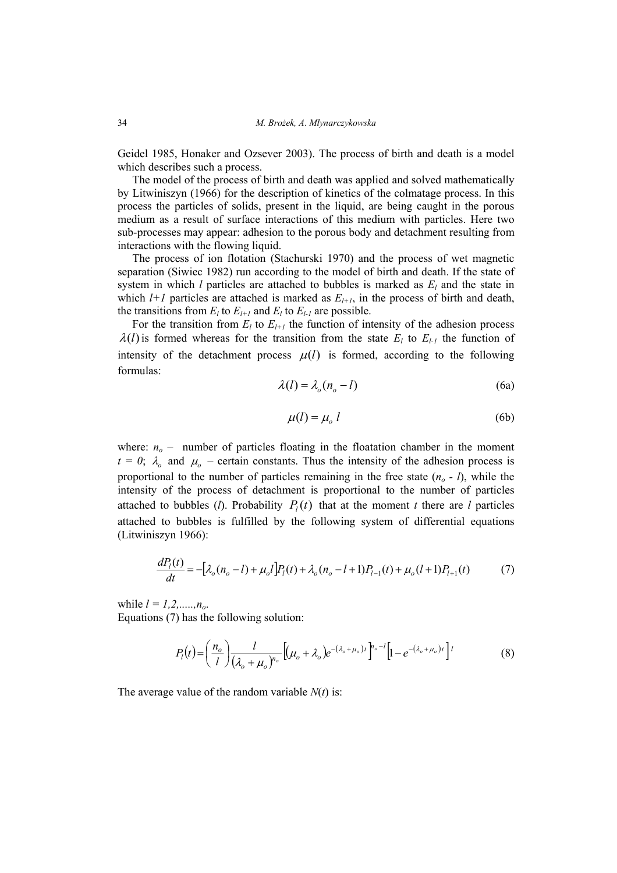Geidel 1985, Honaker and Ozsever 2003). The process of birth and death is a model which describes such a process.

The model of the process of birth and death was applied and solved mathematically by Litwiniszyn (1966) for the description of kinetics of the colmatage process. In this process the particles of solids, present in the liquid, are being caught in the porous medium as a result of surface interactions of this medium with particles. Here two sub-processes may appear: adhesion to the porous body and detachment resulting from interactions with the flowing liquid.

The process of ion flotation (Stachurski 1970) and the process of wet magnetic separation (Siwiec 1982) run according to the model of birth and death. If the state of system in which *l* particles are attached to bubbles is marked as  $E_l$  and the state in which  $l+1$  particles are attached is marked as  $E_{l+1}$ , in the process of birth and death, the transitions from  $E_l$  to  $E_{l+1}$  and  $E_l$  to  $E_{l-1}$  are possible.

For the transition from  $E_l$  to  $E_{l+1}$  the function of intensity of the adhesion process  $\lambda(l)$  is formed whereas for the transition from the state  $E_l$  to  $E_{l-1}$  the function of intensity of the detachment process  $\mu(l)$  is formed, according to the following formulas:

$$
\lambda(l) = \lambda_o(n_o - l) \tag{6a}
$$

$$
\mu(l) = \mu_o \ l \tag{6b}
$$

where:  $n<sub>o</sub>$  – number of particles floating in the floatation chamber in the moment  $t = 0$ ;  $\lambda_o$  and  $\mu_o$  – certain constants. Thus the intensity of the adhesion process is proportional to the number of particles remaining in the free state  $(n_0 - l)$ , while the intensity of the process of detachment is proportional to the number of particles attached to bubbles (*l*). Probability  $P<sub>i</sub>(t)$  that at the moment *t* there are *l* particles attached to bubbles is fulfilled by the following system of differential equations (Litwiniszyn 1966):

$$
\frac{dP_l(t)}{dt} = -[\lambda_o(n_o - l) + \mu_o l]P_l(t) + \lambda_o(n_o - l + 1)P_{l-1}(t) + \mu_o(l + 1)P_{l+1}(t) \tag{7}
$$

while  $l = 1, 2, \ldots, n_{o}$ . Equations (7) has the following solution:

$$
P_{l}(t) = \left(\frac{n_o}{l}\right) \frac{l}{\left(\lambda_o + \mu_o\right)^{n_o}} \left[ (\mu_o + \lambda_o) e^{-(\lambda_o + \mu_o)t} \right]^{n_o - l} \left[ 1 - e^{-(\lambda_o + \mu_o)t} \right]^{l}
$$
(8)

The average value of the random variable *N*(*t*) is: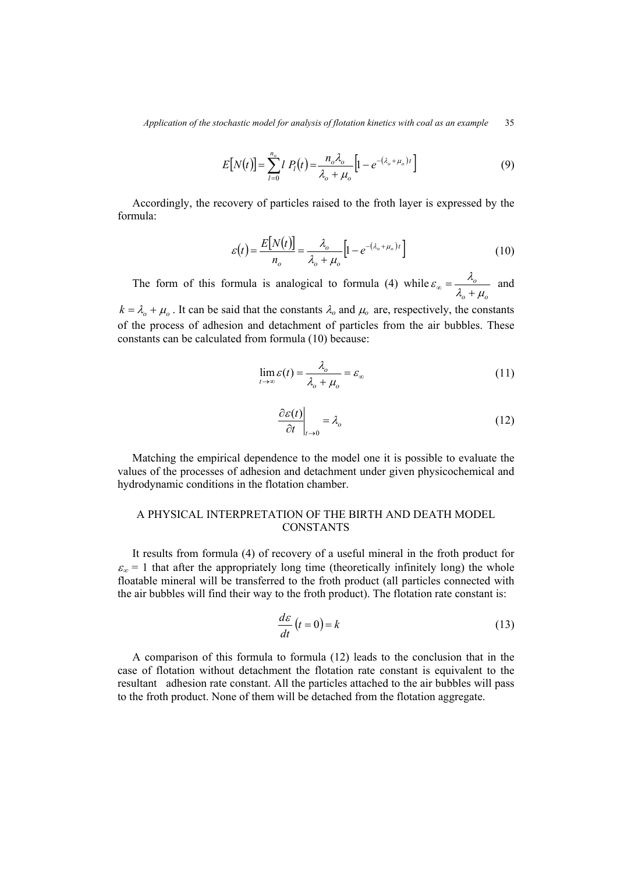$$
E[N(t)] = \sum_{l=0}^{n_o} l P_l(t) = \frac{n_o \lambda_o}{\lambda_o + \mu_o} \left[ 1 - e^{-(\lambda_o + \mu_o)t} \right]
$$
(9)

Accordingly, the recovery of particles raised to the froth layer is expressed by the formula:

$$
\varepsilon(t) = \frac{E[N(t)]}{n_o} = \frac{\lambda_o}{\lambda_o + \mu_o} \left[ 1 - e^{-(\lambda_o + \mu_o)t} \right]
$$
(10)

The form of this formula is analogical to formula (4) while  $\sigma$   $\sigma$   $\mu_o$ *o*  $\lambda_{\alpha} + \mu_{\alpha}$  $\varepsilon_{\infty} = \frac{\lambda_o}{\lambda_o + \mu_o}$  and

 $k = \lambda_0 + \mu_0$ . It can be said that the constants  $\lambda_0$  and  $\mu_0$  are, respectively, the constants of the process of adhesion and detachment of particles from the air bubbles. These constants can be calculated from formula (10) because:

$$
\lim_{t \to \infty} \varepsilon(t) = \frac{\lambda_o}{\lambda_o + \mu_o} = \varepsilon_{\infty} \tag{11}
$$

$$
\left. \frac{\partial \varepsilon(t)}{\partial t} \right|_{t \to 0} = \lambda_o \tag{12}
$$

Matching the empirical dependence to the model one it is possible to evaluate the values of the processes of adhesion and detachment under given physicochemical and hydrodynamic conditions in the flotation chamber.

# A PHYSICAL INTERPRETATION OF THE BIRTH AND DEATH MODEL **CONSTANTS**

It results from formula (4) of recovery of a useful mineral in the froth product for  $\varepsilon_{\infty}$  = 1 that after the appropriately long time (theoretically infinitely long) the whole floatable mineral will be transferred to the froth product (all particles connected with the air bubbles will find their way to the froth product). The flotation rate constant is:

$$
\frac{d\varepsilon}{dt}\left(t=0\right) = k\tag{13}
$$

A comparison of this formula to formula (12) leads to the conclusion that in the case of flotation without detachment the flotation rate constant is equivalent to the resultant adhesion rate constant. All the particles attached to the air bubbles will pass to the froth product. None of them will be detached from the flotation aggregate.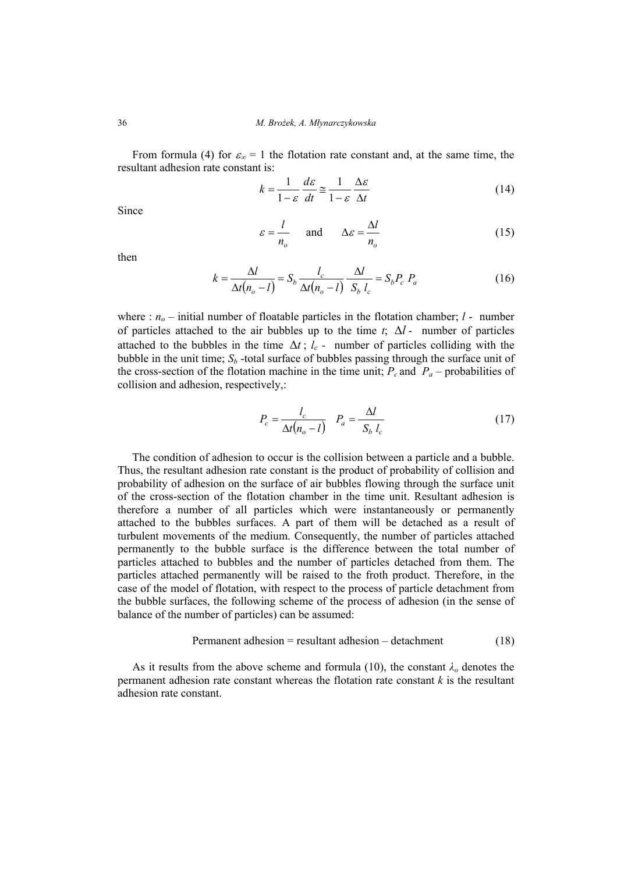From formula (4) for  $\varepsilon_{\infty} = 1$  the flotation rate constant and, at the same time, the resultant adhesion rate constant is:

$$
k = \frac{1}{1 - \varepsilon} \frac{d\varepsilon}{dt} \approx \frac{1}{1 - \varepsilon} \frac{\Delta \varepsilon}{\Delta t}
$$
 (14)

Since

$$
\varepsilon = \frac{l}{n_o} \quad \text{and} \quad \Delta \varepsilon = \frac{\Delta l}{n_o} \tag{15}
$$

then

$$
k = \frac{\Delta l}{\Delta t (n_o - l)} = S_b \frac{l_c}{\Delta t (n_o - l)} \frac{\Delta l}{S_b l_c} = S_b P_c P_a \tag{16}
$$

where :  $n<sub>o</sub>$  – initial number of floatable particles in the flotation chamber;  $l$  - number of particles attached to the air bubbles up to the time *t*; ∆*l* - number of particles attached to the bubbles in the time  $\Delta t$ ;  $l_c$  - number of particles colliding with the bubble in the unit time;  $S_b$  -total surface of bubbles passing through the surface unit of the cross-section of the flotation machine in the time unit;  $P_c$  and  $P_a$  – probabilities of collision and adhesion, respectively,:

$$
P_c = \frac{l_c}{\Delta t (n_o - l)} \quad P_a = \frac{\Delta l}{S_b \ l_c} \tag{17}
$$

The condition of adhesion to occur is the collision between a particle and a bubble. Thus, the resultant adhesion rate constant is the product of probability of collision and probability of adhesion on the surface of air bubbles flowing through the surface unit of the cross-section of the flotation chamber in the time unit. Resultant adhesion is therefore a number of all particles which were instantaneously or permanently attached to the bubbles surfaces. A part of them will be detached as a result of turbulent movements of the medium. Consequently, the number of particles attached permanently to the bubble surface is the difference between the total number of particles attached to bubbles and the number of particles detached from them. The particles attached permanently will be raised to the froth product. Therefore, in the case of the model of flotation, with respect to the process of particle detachment from the bubble surfaces, the following scheme of the process of adhesion (in the sense of balance of the number of particles) can be assumed:

$$
Permanent adhesion = resultant adhesion - detachment
$$
\n(18)

As it results from the above scheme and formula (10), the constant  $\lambda_o$  denotes the permanent adhesion rate constant whereas the flotation rate constant *k* is the resultant adhesion rate constant.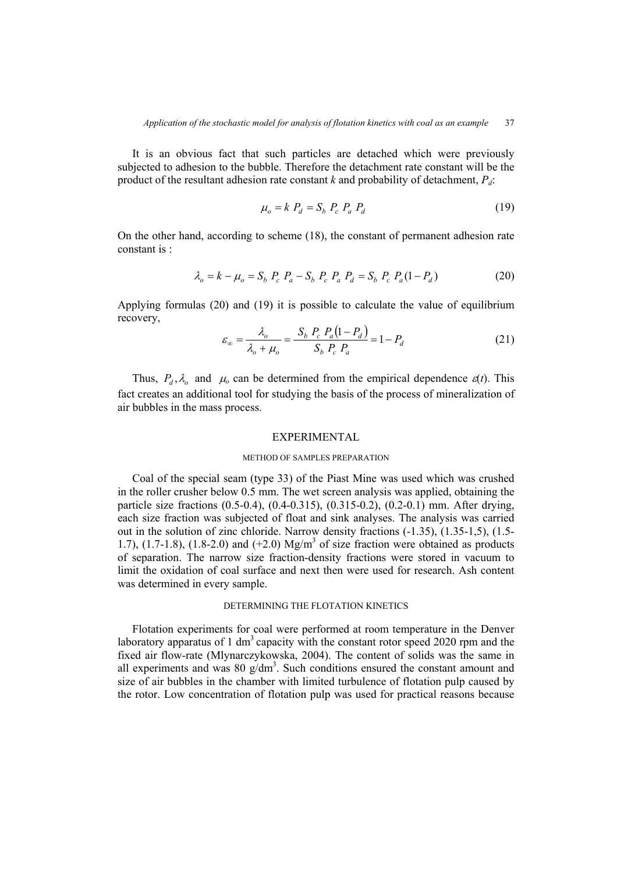It is an obvious fact that such particles are detached which were previously subjected to adhesion to the bubble. Therefore the detachment rate constant will be the product of the resultant adhesion rate constant  $k$  and probability of detachment,  $P_d$ :

$$
\mu_o = k P_d = S_b P_c P_a P_d \tag{19}
$$

On the other hand, according to scheme (18), the constant of permanent adhesion rate constant is :

$$
\lambda_o = k - \mu_o = S_b \ P_c \ P_a - S_b \ P_c \ P_a \ P_d = S_b \ P_c \ P_a (1 - P_d) \tag{20}
$$

Applying formulas (20) and (19) it is possible to calculate the value of equilibrium recovery,

$$
\varepsilon_{\infty} = \frac{\lambda_o}{\lambda_o + \mu_o} = \frac{S_b \ P_c \ P_a (1 - P_d)}{S_b \ P_c \ P_a} = 1 - P_d \tag{21}
$$

Thus,  $P_d$ ,  $\lambda_o$  and  $\mu_o$  can be determined from the empirical dependence  $\varepsilon(t)$ . This fact creates an additional tool for studying the basis of the process of mineralization of air bubbles in the mass process.

## EXPERIMENTAL

#### METHOD OF SAMPLES PREPARATION

Coal of the special seam (type 33) of the Piast Mine was used which was crushed in the roller crusher below 0.5 mm. The wet screen analysis was applied, obtaining the particle size fractions (0.5-0.4), (0.4-0.315), (0.315-0.2), (0.2-0.1) mm. After drying, each size fraction was subjected of float and sink analyses. The analysis was carried out in the solution of zinc chloride. Narrow density fractions (-1.35), (1.35-1,5), (1.5- 1.7),  $(1.7-1.8)$ ,  $(1.8-2.0)$  and  $(+2.0)$  Mg/m<sup>3</sup> of size fraction were obtained as products of separation. The narrow size fraction-density fractions were stored in vacuum to limit the oxidation of coal surface and next then were used for research. Ash content was determined in every sample.

# DETERMINING THE FLOTATION KINETICS

Flotation experiments for coal were performed at room temperature in the Denver laboratory apparatus of 1 dm<sup>3</sup> capacity with the constant rotor speed 2020 rpm and the fixed air flow-rate (Mlynarczykowska, 2004). The content of solids was the same in all experiments and was  $80 \text{ g/dm}^3$ . Such conditions ensured the constant amount and size of air bubbles in the chamber with limited turbulence of flotation pulp caused by the rotor. Low concentration of flotation pulp was used for practical reasons because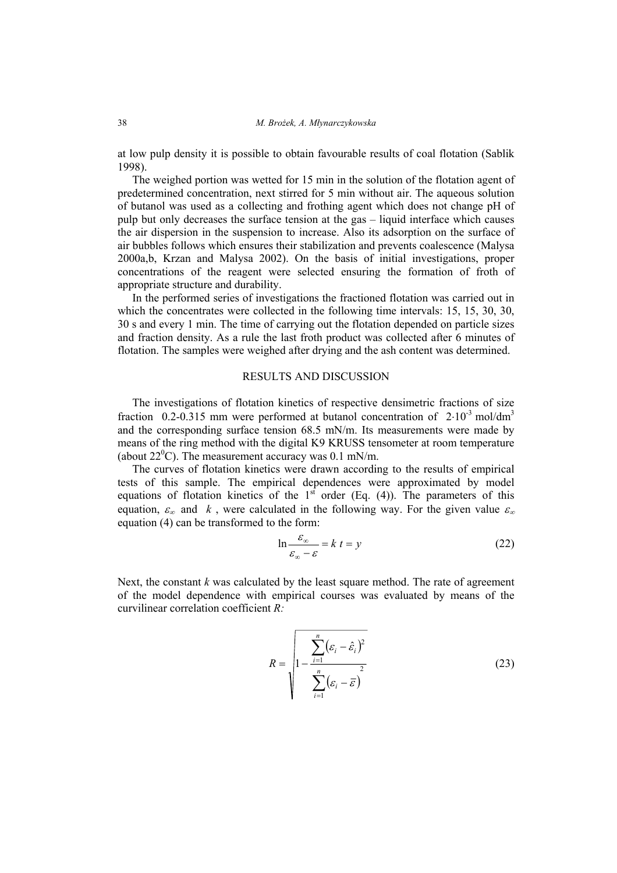at low pulp density it is possible to obtain favourable results of coal flotation (Sablik 1998).

The weighed portion was wetted for 15 min in the solution of the flotation agent of predetermined concentration, next stirred for 5 min without air. The aqueous solution of butanol was used as a collecting and frothing agent which does not change pH of pulp but only decreases the surface tension at the gas – liquid interface which causes the air dispersion in the suspension to increase. Also its adsorption on the surface of air bubbles follows which ensures their stabilization and prevents coalescence (Malysa 2000a,b, Krzan and Malysa 2002). On the basis of initial investigations, proper concentrations of the reagent were selected ensuring the formation of froth of appropriate structure and durability.

In the performed series of investigations the fractioned flotation was carried out in which the concentrates were collected in the following time intervals: 15, 15, 30, 30, 30 s and every 1 min. The time of carrying out the flotation depended on particle sizes and fraction density. As a rule the last froth product was collected after 6 minutes of flotation. The samples were weighed after drying and the ash content was determined.

# RESULTS AND DISCUSSION

The investigations of flotation kinetics of respective densimetric fractions of size fraction 0.2-0.315 mm were performed at butanol concentration of  $2.10^{-3}$  mol/dm<sup>3</sup> and the corresponding surface tension 68.5 mN/m. Its measurements were made by means of the ring method with the digital K9 KRUSS tensometer at room temperature (about  $22^{\circ}$ C). The measurement accuracy was 0.1 mN/m.

The curves of flotation kinetics were drawn according to the results of empirical tests of this sample. The empirical dependences were approximated by model equations of flotation kinetics of the  $1<sup>st</sup>$  order (Eq. (4)). The parameters of this equation,  $\varepsilon_{\infty}$  and k, were calculated in the following way. For the given value  $\varepsilon_{\infty}$ equation (4) can be transformed to the form:

$$
\ln \frac{\varepsilon_{\infty}}{\varepsilon_{\infty} - \varepsilon} = k \ t = y \tag{22}
$$

Next, the constant *k* was calculated by the least square method. The rate of agreement of the model dependence with empirical courses was evaluated by means of the curvilinear correlation coefficient *R:* 

$$
R = \sqrt{1 - \frac{\sum_{i=1}^{n} (\varepsilon_i - \hat{\varepsilon}_i)^2}{\sum_{i=1}^{n} (\varepsilon_i - \bar{\varepsilon})^2}}
$$
(23)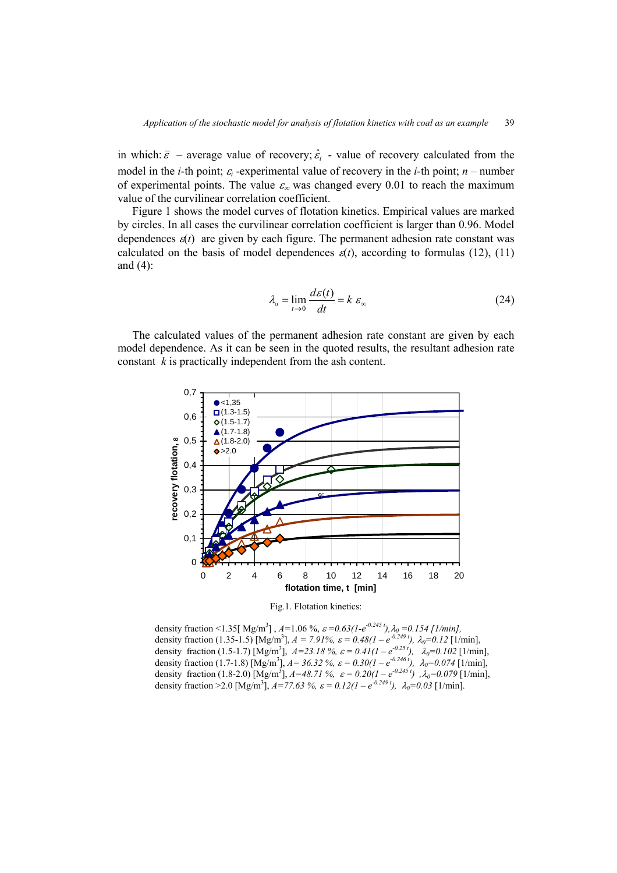in which:  $\bar{\varepsilon}$  – average value of recovery;  $\hat{\varepsilon}$  – value of recovery calculated from the model in the *i*-th point;  $\varepsilon_i$ -experimental value of recovery in the *i*-th point; *n* – number of experimental points. The value  $\varepsilon_{\infty}$  was changed every 0.01 to reach the maximum value of the curvilinear correlation coefficient.

Figure 1 shows the model curves of flotation kinetics. Empirical values are marked by circles. In all cases the curvilinear correlation coefficient is larger than 0.96. Model dependences  $\varepsilon(t)$  are given by each figure. The permanent adhesion rate constant was calculated on the basis of model dependences  $\varepsilon(t)$ , according to formulas (12), (11) and (4):

$$
\lambda_o = \lim_{t \to 0} \frac{d\varepsilon(t)}{dt} = k \varepsilon_\infty \tag{24}
$$

The calculated values of the permanent adhesion rate constant are given by each model dependence. As it can be seen in the quoted results, the resultant adhesion rate constant *k* is practically independent from the ash content.



Fig.1. Flotation kinetics:

density fraction <1.35[ Mg/m<sup>3</sup>],  $A=1.06$  %,  $\varepsilon = 0.63(1-e^{0.245t})$ ,  $\lambda_0 = 0.154$  [1/min], density fraction (1.35-1.5) [Mg/m<sup>3</sup>],  $A = 7.91\%$ ,  $\varepsilon = 0.48(1 - e^{-0.249t})$ ,  $\lambda_0 = 0.12$  [1/min], density fraction (1.5-1.7) [Mg/m<sup>3</sup>],  $A=23.18\%$ ,  $\varepsilon = 0.41(1 - e^{-0.25t})$ ,  $\lambda_0=0.102$  [1/min], density fraction (1.7-1.8) [Mg/m<sup>3</sup>],  $A = 36.32 \%$ ,  $\varepsilon = 0.30(1 - e^{-0.246 t})$ ,  $\lambda_0 = 0.074$  [1/min], density fraction (1.8-2.0) [Mg/m<sup>3</sup>],  $A=48.71\%$ ,  $\varepsilon = 0.20(1 - e^{-0.245t})$ ,  $\lambda_0=0.079$  [1/min], density fraction > 2.0 [Mg/m<sup>3</sup>],  $A = 77.63$  %,  $\varepsilon = 0.12(1 - e^{-0.249t})$ ,  $\lambda_0 = 0.03$  [1/min].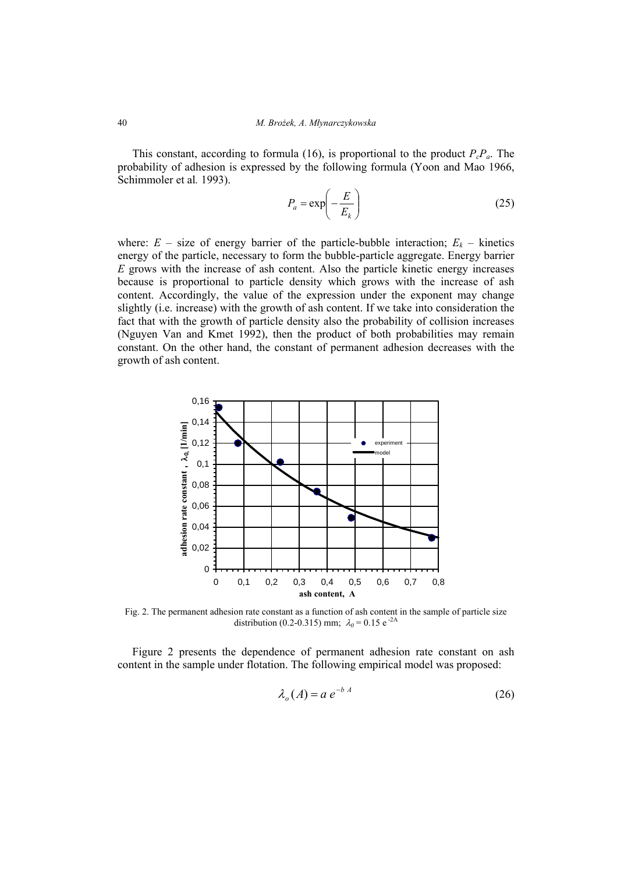This constant, according to formula (16), is proportional to the product  $P_cP_a$ . The probability of adhesion is expressed by the following formula (Yoon and Mao 1966, Schimmoler et al*.* 1993).

$$
P_a = \exp\left(-\frac{E}{E_k}\right) \tag{25}
$$

where:  $E - \text{size of energy barrier of the particle-bubble interaction; } E_k - \text{kinetics}$ energy of the particle, necessary to form the bubble-particle aggregate. Energy barrier *E* grows with the increase of ash content. Also the particle kinetic energy increases because is proportional to particle density which grows with the increase of ash content. Accordingly, the value of the expression under the exponent may change slightly (i.e. increase) with the growth of ash content. If we take into consideration the fact that with the growth of particle density also the probability of collision increases (Nguyen Van and Kmet 1992), then the product of both probabilities may remain constant. On the other hand, the constant of permanent adhesion decreases with the growth of ash content.



Fig. 2. The permanent adhesion rate constant as a function of ash content in the sample of particle size distribution (0.2-0.315) mm;  $\lambda_0 = 0.15$  e<sup>-2A</sup>

Figure 2 presents the dependence of permanent adhesion rate constant on ash content in the sample under flotation. The following empirical model was proposed:

$$
\lambda_o(A) = a e^{-b A} \tag{26}
$$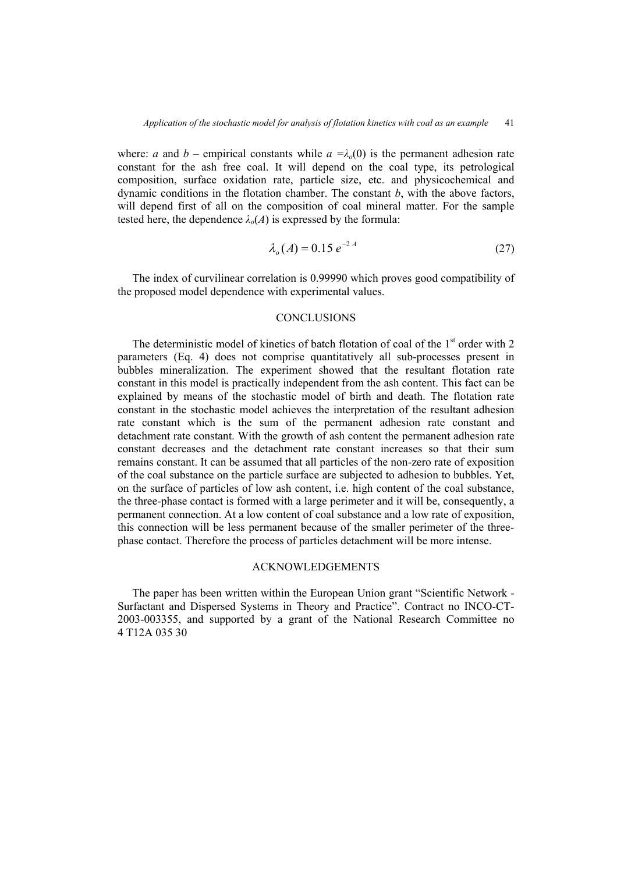where: *a* and *b* – empirical constants while  $a = \lambda_0(0)$  is the permanent adhesion rate constant for the ash free coal. It will depend on the coal type, its petrological composition, surface oxidation rate, particle size, etc. and physicochemical and dynamic conditions in the flotation chamber. The constant *b*, with the above factors, will depend first of all on the composition of coal mineral matter. For the sample tested here, the dependence  $\lambda_o(A)$  is expressed by the formula:

$$
\lambda_o(A) = 0.15 \, e^{-2 \, A} \tag{27}
$$

The index of curvilinear correlation is 0.99990 which proves good compatibility of the proposed model dependence with experimental values.

# **CONCLUSIONS**

The deterministic model of kinetics of batch flotation of coal of the  $1<sup>st</sup>$  order with 2 parameters (Eq. 4) does not comprise quantitatively all sub-processes present in bubbles mineralization. The experiment showed that the resultant flotation rate constant in this model is practically independent from the ash content. This fact can be explained by means of the stochastic model of birth and death. The flotation rate constant in the stochastic model achieves the interpretation of the resultant adhesion rate constant which is the sum of the permanent adhesion rate constant and detachment rate constant. With the growth of ash content the permanent adhesion rate constant decreases and the detachment rate constant increases so that their sum remains constant. It can be assumed that all particles of the non-zero rate of exposition of the coal substance on the particle surface are subjected to adhesion to bubbles. Yet, on the surface of particles of low ash content, i.e. high content of the coal substance, the three-phase contact is formed with a large perimeter and it will be, consequently, a permanent connection. At a low content of coal substance and a low rate of exposition, this connection will be less permanent because of the smaller perimeter of the threephase contact. Therefore the process of particles detachment will be more intense.

# ACKNOWLEDGEMENTS

The paper has been written within the European Union grant "Scientific Network - Surfactant and Dispersed Systems in Theory and Practice". Contract no INCO-CT-2003-003355, and supported by a grant of the National Research Committee no 4 T12A 035 30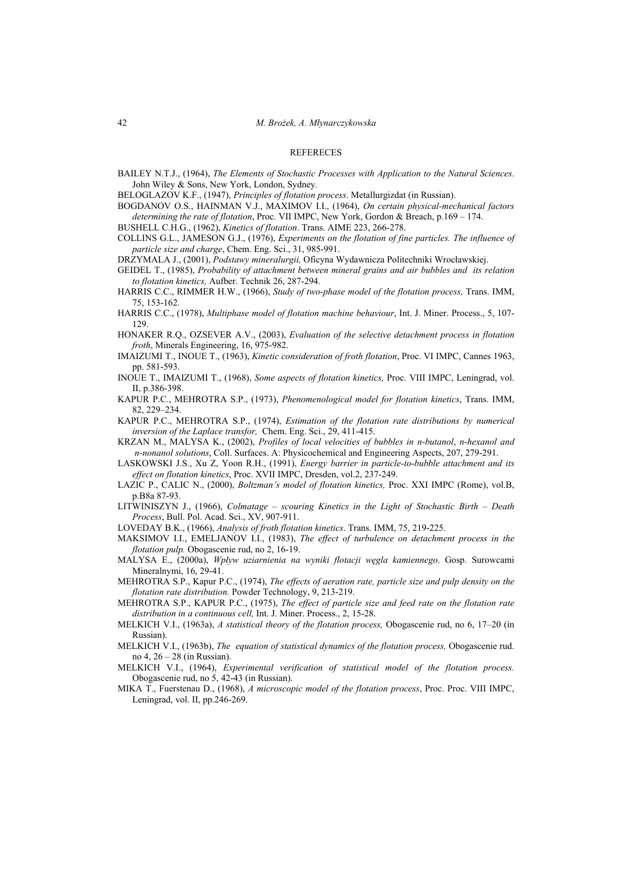#### **REFERECES**

BAILEY N.T.J., (1964), *The Elements of Stochastic Processes with Application to the Natural Sciences*. John Wiley & Sons, New York, London, Sydney.

BELOGLAZOV K.F., (1947), *Principles of flotation process*. Metallurgizdat (in Russian).

BOGDANOV O.S., HAINMAN V.J., MAXIMOV I.I., (1964), *On certain physical-mechanical factors determining the rate of flotation*, Proc. VII IMPC, New York, Gordon & Breach, p.169 – 174.

BUSHELL C.H.G., (1962), *Kinetics of flotation*. Trans. AIME 223, 266-278.

COLLINS G.L., JAMESON G.J., (1976), *Experiments on the flotation of fine particles. The influence of particle size and charge*, Chem. Eng. Sci., 31, 985-991.

DRZYMALA J., (2001), *Podstawy mineralurgii,* Oficyna Wydawnicza Politechniki Wrocławskiej.

GEIDEL T., (1985), *Probability of attachment between mineral grains and air bubbles and its relation to flotation kinetics,* Aufber. Technik 26, 287-294.

HARRIS C.C., RIMMER H.W., (1966), *Study of two-phase model of the flotation process,* Trans. IMM, 75, 153-162.

HARRIS C.C., (1978), *Multiphase model of flotation machine behaviour*, Int. J. Miner. Process., 5, 107- 129.

HONAKER R.Q., OZSEVER A.V., (2003), *Evaluation of the selective detachment process in flotation froth*, Minerals Engineering, 16, 975-982.

- IMAIZUMI T., INOUE T., (1963), *Kinetic consideration of froth flotation*, Proc. VI IMPC, Cannes 1963, pp. 581-593.
- INOUE T., IMAIZUMI T., (1968), *Some aspects of flotation kinetics,* Proc. VIII IMPC, Leningrad, vol. II, p.386-398.

KAPUR P.C., MEHROTRA S.P., (1973), *Phenomenological model for flotation kinetics*, Trans. IMM, 82, 229–234.

KAPUR P.C., MEHROTRA S.P., (1974), *Estimation of the flotation rate distributions by numerical inversion of the Laplace transfor,* Chem. Eng. Sci., 29, 411-415.

KRZAN M., MALYSA K., (2002), *Profiles of local velocities of bubbles in n-butanol*, *n-hexanol and n-nonanol solutions*, Coll. Surfaces. A: Physicochemical and Engineering Aspects, 207, 279-291.

- LASKOWSKI J.S., Xu Z, Yoon R.H., (1991), *Energy barrier in particle-to-bubble attachment and its effect on flotation kinetics*, Proc. XVII IMPC, Dresden, vol.2, 237-249.
- LAZIC P., CALIC N., (2000), *Boltzman's model of flotation kinetics,* Proc. XXI IMPC (Rome), vol.B, p.B8a 87-93.
- LITWINISZYN J., (1966), *Colmatage scouring Kinetics in the Light of Stochastic Birth Death Process*, Bull. Pol. Acad. Sci., XV, 907-911.
- LOVEDAY B.K., (1966), *Analysis of froth flotation kinetics*. Trans. IMM, 75, 219-225.
- MAKSIMOV I.I., EMELJANOV I.I., (1983), *The effect of turbulence on detachment process in the flotation pulp.* Obogascenie rud, no 2, 16-19.
- MALYSA E., (2000a), *Wpływ uziarnienia na wyniki flotacji węgla kamiennego*. Gosp. Surowcami Mineralnymi, 16, 29-41.
- MEHROTRA S.P., Kapur P.C., (1974), *The effects of aeration rate, particle size and pulp density on the flotation rate distribution.* Powder Technology, 9, 213-219.
- MEHROTRA S.P., KAPUR P.C., (1975), *The effect of particle size and feed rate on the flotation rate distribution in a continuous cell,* Int. J. Miner. Process., 2, 15-28.
- MELKICH V.I., (1963a), *A statistical theory of the flotation process,* Obogascenie rud, no 6, 17–20 (in Russian).
- MELKICH V.I., (1963b), *The equation of statistical dynamics of the flotation process,* Obogascenie rud. no 4, 26 – 28 (in Russian).
- MELKICH V.I., (1964), *Experimental verification of statistical model of the flotation process.* Obogascenie rud, no 5, 42-43 (in Russian).
- MIKA T., Fuerstenau D., (1968), *A microscopic model of the flotation process*, Proc. Proc. VIII IMPC, Leningrad, vol. II, pp.246-269.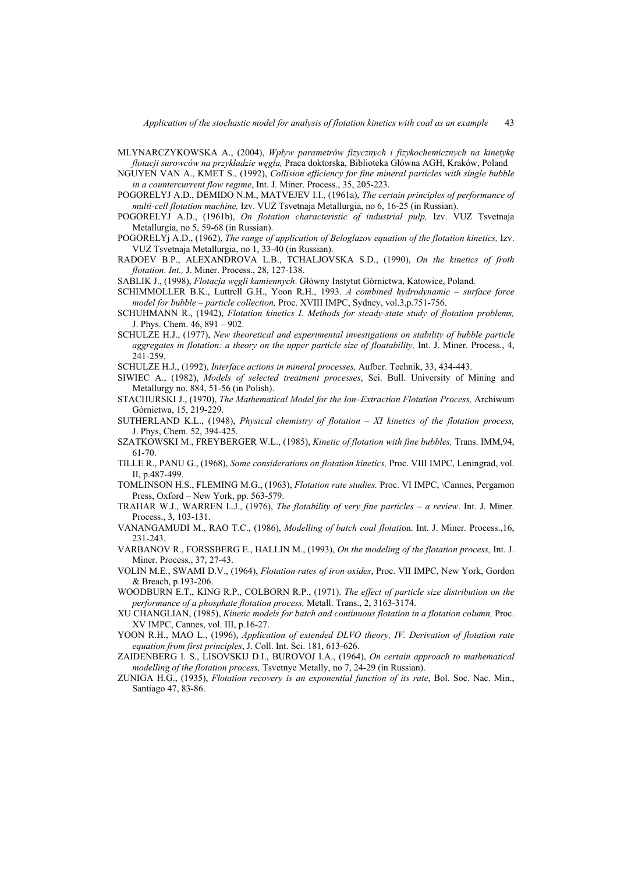- MLYNARCZYKOWSKA A., (2004), *Wpływ parametrów fizycznych i fizykochemicznych na kinetykę flotacji surowców na przykładzie węgla,* Praca doktorska, Biblioteka Główna AGH, Kraków, Poland
- NGUYEN VAN A., KMET S., (1992), *Collision efficiency for fine mineral particles with single bubble in a countercurrent flow regime*, Int. J. Miner. Process., 35, 205-223.
- POGORELYJ A.D., DEMIDO N.M., MATVEJEV I.I., (1961a), *The certain principles of performance of multi-cell flotation machine,* Izv. VUZ Tsvetnaja Metallurgia, no 6, 16-25 (in Russian).
- POGORELYJ A.D., (1961b), *On flotation characteristic of industrial pulp,* Izv. VUZ Tsvetnaja Metallurgia, no 5, 59-68 (in Russian).
- POGORELYj A.D., (1962), *The range of application of Beloglazov equation of the flotation kinetics,* Izv. VUZ Tsvetnaja Metallurgia, no 1, 33-40 (in Russian).
- RADOEV B.P., ALEXANDROVA L.B., TCHALJOVSKA S.D., (1990), *On the kinetics of froth flotation. Int.,* J. Miner. Process., 28, 127-138.

SABLIK J., (1998), *Flotacja węgli kamiennych*. Główny Instytut Górnictwa, Katowice, Poland.

- SCHIMMOLLER B.K., Luttrell G.H., Yoon R.H., 1993. *A combined hydrodynamic surface force model for bubble – particle collection,* Proc. XVIII IMPC, Sydney, vol.3,p.751-756.
- SCHUHMANN R., (1942), *Flotation kinetics I. Methods for steady-state study of flotation problems,*  J. Phys. Chem. 46, 891 – 902.
- SCHULZE H.J., (1977), *New theoretical and experimental investigations on stability of bubble particle aggregates in flotation: a theory on the upper particle size of floatability,* Int. J. Miner. Process., 4, 241-259.
- SCHULZE H.J., (1992), *Interface actions in mineral processes,* Aufber. Technik, 33, 434-443.
- SIWIEC A., (1982), *Models of selected treatment processes*, Sci. Bull. University of Mining and Metallurgy no. 884, 51-56 (in Polish).
- STACHURSKI J., (1970), *The Mathematical Model for the Ion–Extraction Flotation Process,* Archiwum Górnictwa, 15, 219-229.
- SUTHERLAND K.L., (1948), *Physical chemistry of flotation XI kinetics of the flotation process,* J. Phys, Chem. 52, 394-425.
- SZATKOWSKI M., FREYBERGER W.L., (1985), *Kinetic of flotation with fine bubbles,* Trans. IMM,94, 61-70.
- TILLE R., PANU G., (1968), *Some considerations on flotation kinetics,* Proc. VIII IMPC, Leningrad, vol. II, p.487-499.
- TOMLINSON H.S., FLEMING M.G., (1963), *Flotation rate studies.* Proc. VI IMPC, \Cannes, Pergamon Press, Oxford – New York, pp. 563-579.
- TRAHAR W.J., WARREN L.J., (1976), *The flotability of very fine particles a review*. Int. J. Miner. Process., 3, 103-131.
- VANANGAMUDI M., RAO T.C., (1986), *Modelling of batch coal flotati*on. Int. J. Miner. Process.,16, 231-243.
- VARBANOV R., FORSSBERG E., HALLIN M., (1993), *On the modeling of the flotation process,* Int. J. Miner. Process., 37, 27-43.
- VOLIN M.E., SWAMI D.V., (1964), *Flotation rates of iron oxides*, Proc. VII IMPC, New York, Gordon & Breach, p.193-206.
- WOODBURN E.T., KING R.P., COLBORN R.P., (1971). *The effect of particle size distribution on the performance of a phosphate flotation process,* Metall. Trans., 2, 3163-3174.
- XU CHANGLIAN, (1985), *Kinetic models for batch and continuous flotation in a flotation column,* Proc. XV IMPC, Cannes, vol. III, p.16-27.
- YOON R.H., MAO L., (1996), *Application of extended DLVO theory, IV. Derivation of flotation rate equation from first principles*, J. Coll. Int. Sci. 181, 613-626.
- ZAIDENBERG I. S., LISOVSKIJ D.I., BUROVOJ I.A., (1964), *On certain approach to mathematical modelling of the flotation process,* Tsvetnye Metally, no 7, 24-29 (in Russian).
- ZUNIGA H.G., (1935), *Flotation recovery is an exponential function of its rate*, Bol. Soc. Nac. Min., Santiago 47, 83-86.